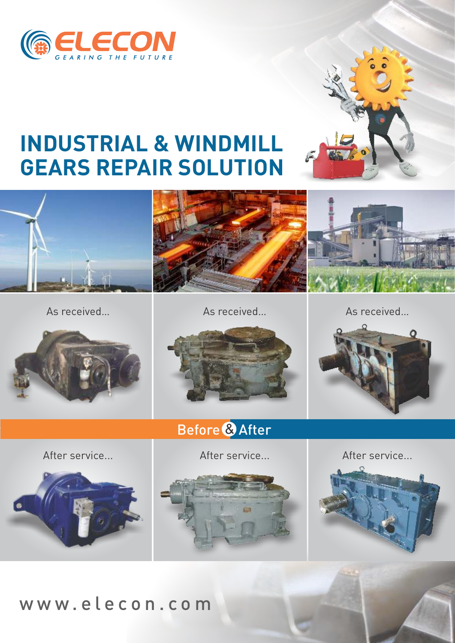



# **INDUSTRIAL & WINDMILL GEARS REPAIR SOLUTION**



As received…



As received…

As received…



Before & After



After service...



After service...





## w w w . e l e c o n . c o m